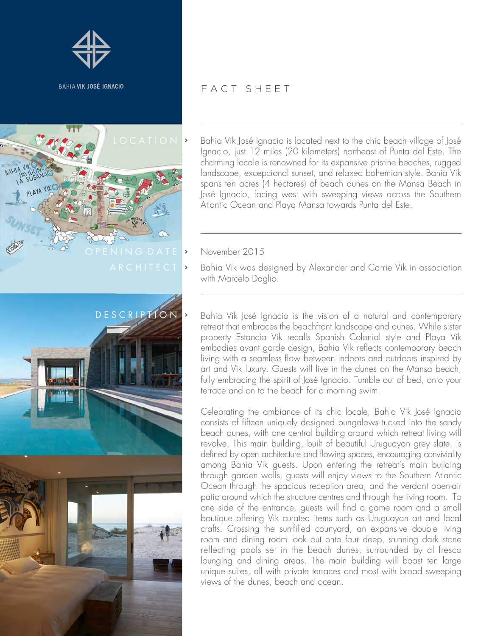



## FACT SHEET

 $LO C A T I O N$  > Bahia Vik José Ignacio is located next to the chic beach village of José Ignacio, just 12 miles (20 kilometers) northeast of Punta del Este. The charming locale is renowned for its expansive pristine beaches, rugged landscape, excepcional sunset, and relaxed bohemian style. Bahia Vik spans ten acres (4 hectares) of beach dunes on the Mansa Beach in José Ignacio, facing west with sweeping views across the Southern Atlantic Ocean and Playa Mansa towards Punta del Este.

Bahia Vik was designed by Alexander and Carrie Vik in association with Marcelo Daglio.

Bahia Vik José Ignacio is the vision of a natural and contemporary retreat that embraces the beachfront landscape and dunes. While sister property Estancia Vik recalls Spanish Colonial style and Playa Vik embodies avant garde design, Bahia Vik reflects contemporary beach living with a seamless flow between indoors and outdoors inspired by art and Vik luxury. Guests will live in the dunes on the Mansa beach, fully embracing the spirit of José Ignacio. Tumble out of bed, onto your terrace and on to the beach for a morning swim.

Celebrating the ambiance of its chic locale, Bahia Vik José Ignacio consists of fifteen uniquely designed bungalows tucked into the sandy beach dunes, with one central building around which retreat living will revolve. This main building, built of beautiful Uruguayan grey slate, is defined by open architecture and flowing spaces, encouraging conviviality among Bahia Vik guests. Upon entering the retreat's main building through garden walls, guests will enjoy views to the Southern Atlantic Ocean through the spacious reception area, and the verdant open-air patio around which the structure centres and through the living room. To one side of the entrance, guests will find a game room and a small boutique offering Vik curated items such as Uruguayan art and local crafts. Crossing the sun-filled courtyard, an expansive double living room and dining room look out onto four deep, stunning dark stone reflecting pools set in the beach dunes, surrounded by al fresco lounging and dining areas. The main building will boast ten large unique suites, all with private terraces and most with broad sweeping views of the dunes, beach and ocean.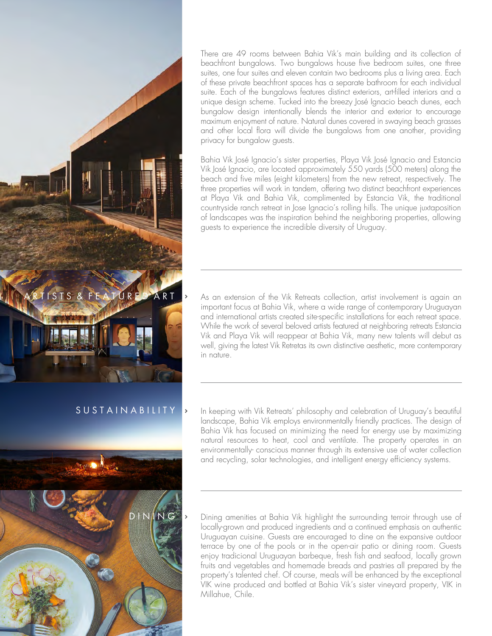

## S U S T A I N A B I LI T Y



There are 49 rooms between Bahia Vik's main building and its collection of beachfront bungalows. Two bungalows house five bedroom suites, one three suites, one four suites and eleven contain two bedrooms plus a living area. Each of these private beachfront spaces has a separate bathroom for each individual suite. Each of the bungalows features distinct exteriors, art-filled interiors and a unique design scheme. Tucked into the breezy José Ignacio beach dunes, each bungalow design intentionally blends the interior and exterior to encourage maximum enjoyment of nature. Natural dunes covered in swaying beach grasses and other local flora will divide the bungalows from one another, providing privacy for bungalow guests.

Bahia Vik José Ignacio's sister properties, Playa Vik José Ignacio and Estancia Vik José Ignacio, are located approximately 550 yards (500 meters) along the beach and five miles (eight kilometers) from the new retreat, respectively. The three properties will work in tandem, offering two distinct beachfront experiences at Playa Vik and Bahia Vik, complimented by Estancia Vik, the traditional countryside ranch retreat in Jose Ignacio's rolling hills. The unique juxtaposition of landscapes was the inspiration behind the neighboring properties, allowing guests to experience the incredible diversity of Uruguay.

As an extension of the Vik Retreats collection, artist involvement is again an important focus at Bahia Vik, where a wide range of contemporary Uruguayan and international artists created site-specific installations for each retreat space. While the work of several beloved artists featured at neighboring retreats Estancia Vik and Playa Vik will reappear at Bahia Vik, many new talents will debut as well, giving the latest Vik Retretas its own distinctive aesthetic, more contemporary in nature.

In keeping with Vik Retreats' philosophy and celebration of Uruguay's beautiful landscape, Bahia Vik employs environmentally friendly practices. The design of Bahia Vik has focused on minimizing the need for energy use by maximizing natural resources to heat, cool and ventilate. The property operates in an environmentally- conscious manner through its extensive use of water collection and recycling, solar technologies, and intelligent energy efficiency systems.

Dining amenities at Bahia Vik highlight the surrounding terroir through use of locally-grown and produced ingredients and a continued emphasis on authentic Uruguayan cuisine. Guests are encouraged to dine on the expansive outdoor terrace by one of the pools or in the open-air patio or dining room. Guests enjoy tradicional Uruguayan barbeque, fresh fish and seafood, locally grown fruits and vegetables and homemade breads and pastries all prepared by the property's talented chef. Of course, meals will be enhanced by the exceptional VIK wine produced and bottled at Bahia Vik's sister vineyard property, VIK in Millahue, Chile.